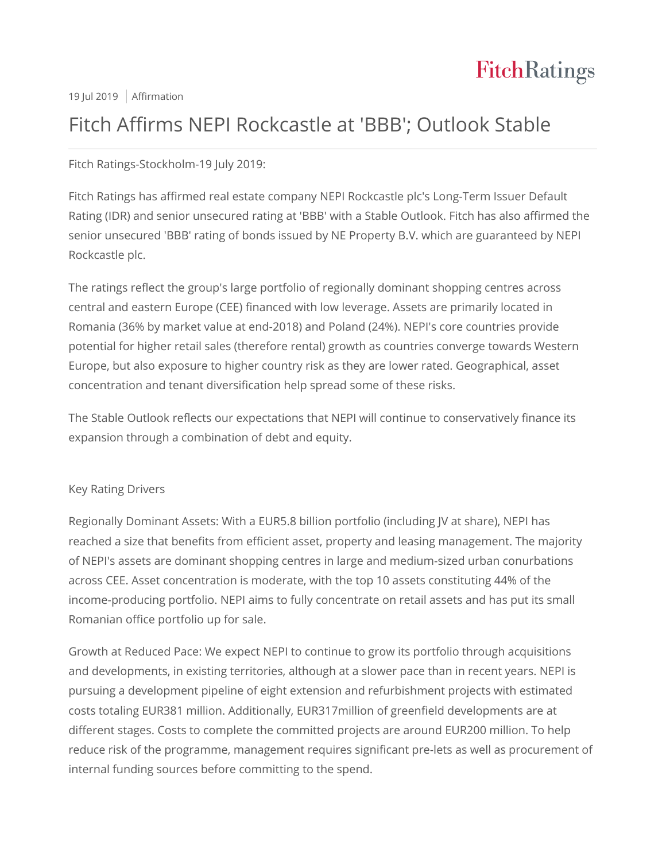19 Jul 2019 | Affirmation

# Fitch Affirms NEPI Rockcastle at 'BBB'; Outlook Stable

Fitch Ratings-Stockholm-19 July 2019:

Fitch Ratings has affirmed real estate company NEPI Rockcastle plc's Long-Term Issuer Default Rating (IDR) and senior unsecured rating at 'BBB' with a Stable Outlook. Fitch has also affirmed the senior unsecured 'BBB' rating of bonds issued by NE Property B.V. which are guaranteed by NEPI Rockcastle plc.

The ratings reflect the group's large portfolio of regionally dominant shopping centres across central and eastern Europe (CEE) financed with low leverage. Assets are primarily located in Romania (36% by market value at end-2018) and Poland (24%). NEPI's core countries provide potential for higher retail sales (therefore rental) growth as countries converge towards Western Europe, but also exposure to higher country risk as they are lower rated. Geographical, asset concentration and tenant diversification help spread some of these risks.

The Stable Outlook reflects our expectations that NEPI will continue to conservatively finance its expansion through a combination of debt and equity.

#### Key Rating Drivers

Regionally Dominant Assets: With a EUR5.8 billion portfolio (including JV at share), NEPI has reached a size that benefits from efficient asset, property and leasing management. The majority of NEPI's assets are dominant shopping centres in large and medium-sized urban conurbations across CEE. Asset concentration is moderate, with the top 10 assets constituting 44% of the income-producing portfolio. NEPI aims to fully concentrate on retail assets and has put its small Romanian office portfolio up for sale.

Growth at Reduced Pace: We expect NEPI to continue to grow its portfolio through acquisitions and developments, in existing territories, although at a slower pace than in recent years. NEPI is pursuing a development pipeline of eight extension and refurbishment projects with estimated costs totaling EUR381 million. Additionally, EUR317million of greenfield developments are at different stages. Costs to complete the committed projects are around EUR200 million. To help reduce risk of the programme, management requires significant pre-lets as well as procurement of internal funding sources before committing to the spend.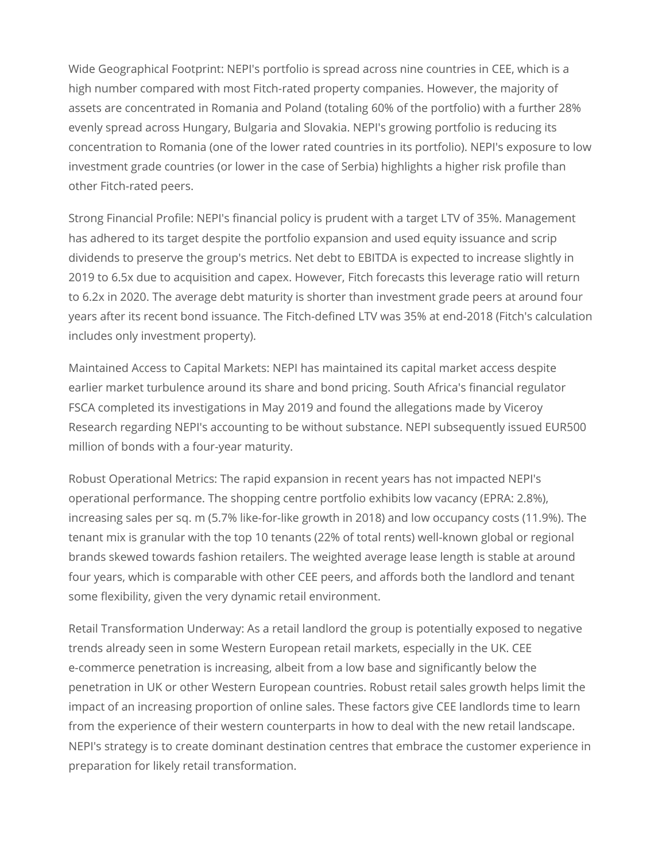Wide Geographical Footprint: NEPI's portfolio is spread across nine countries in CEE, which is a high number compared with most Fitch-rated property companies. However, the majority of assets are concentrated in Romania and Poland (totaling 60% of the portfolio) with a further 28% evenly spread across Hungary, Bulgaria and Slovakia. NEPI's growing portfolio is reducing its concentration to Romania (one of the lower rated countries in its portfolio). NEPI's exposure to low investment grade countries (or lower in the case of Serbia) highlights a higher risk profile than other Fitch-rated peers.

Strong Financial Profile: NEPI's financial policy is prudent with a target LTV of 35%. Management has adhered to its target despite the portfolio expansion and used equity issuance and scrip dividends to preserve the group's metrics. Net debt to EBITDA is expected to increase slightly in 2019 to 6.5x due to acquisition and capex. However, Fitch forecasts this leverage ratio will return to 6.2x in 2020. The average debt maturity is shorter than investment grade peers at around four years after its recent bond issuance. The Fitch-defined LTV was 35% at end-2018 (Fitch's calculation includes only investment property).

Maintained Access to Capital Markets: NEPI has maintained its capital market access despite earlier market turbulence around its share and bond pricing. South Africa's financial regulator FSCA completed its investigations in May 2019 and found the allegations made by Viceroy Research regarding NEPI's accounting to be without substance. NEPI subsequently issued EUR500 million of bonds with a four-year maturity.

Robust Operational Metrics: The rapid expansion in recent years has not impacted NEPI's operational performance. The shopping centre portfolio exhibits low vacancy (EPRA: 2.8%), increasing sales per sq. m (5.7% like-for-like growth in 2018) and low occupancy costs (11.9%). The tenant mix is granular with the top 10 tenants (22% of total rents) well-known global or regional brands skewed towards fashion retailers. The weighted average lease length is stable at around four years, which is comparable with other CEE peers, and affords both the landlord and tenant some flexibility, given the very dynamic retail environment.

Retail Transformation Underway: As a retail landlord the group is potentially exposed to negative trends already seen in some Western European retail markets, especially in the UK. CEE e-commerce penetration is increasing, albeit from a low base and significantly below the penetration in UK or other Western European countries. Robust retail sales growth helps limit the impact of an increasing proportion of online sales. These factors give CEE landlords time to learn from the experience of their western counterparts in how to deal with the new retail landscape. NEPI's strategy is to create dominant destination centres that embrace the customer experience in preparation for likely retail transformation.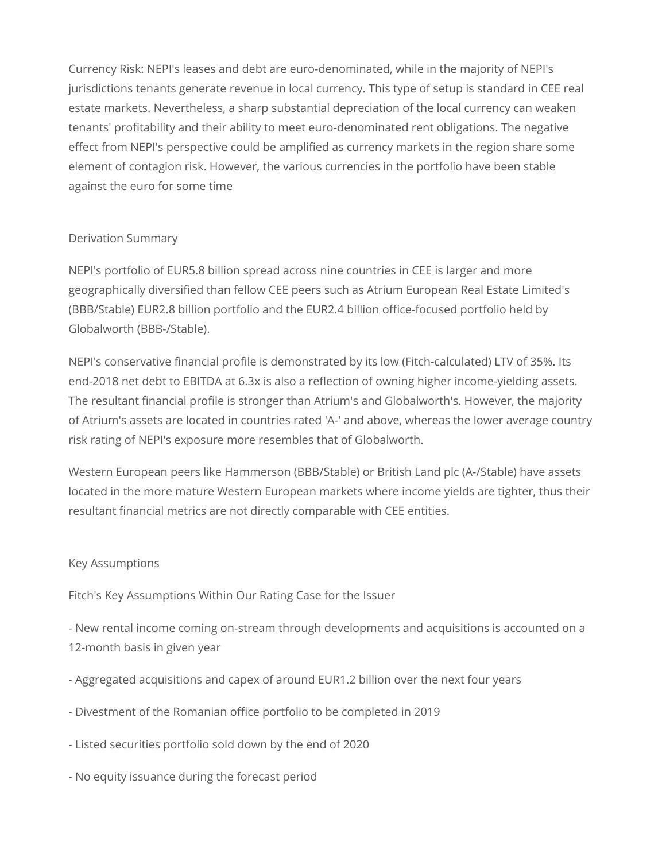Currency Risk: NEPI's leases and debt are euro-denominated, while in the majority of NEPI's jurisdictions tenants generate revenue in local currency. This type of setup is standard in CEE real estate markets. Nevertheless, a sharp substantial depreciation of the local currency can weaken tenants' profitability and their ability to meet euro-denominated rent obligations. The negative effect from NEPI's perspective could be amplified as currency markets in the region share some element of contagion risk. However, the various currencies in the portfolio have been stable against the euro for some time

### Derivation Summary

NEPI's portfolio of EUR5.8 billion spread across nine countries in CEE is larger and more geographically diversified than fellow CEE peers such as Atrium European Real Estate Limited's (BBB/Stable) EUR2.8 billion portfolio and the EUR2.4 billion office-focused portfolio held by Globalworth (BBB-/Stable).

NEPI's conservative financial profile is demonstrated by its low (Fitch-calculated) LTV of 35%. Its end-2018 net debt to EBITDA at 6.3x is also a reflection of owning higher income-yielding assets. The resultant financial profile is stronger than Atrium's and Globalworth's. However, the majority of Atrium's assets are located in countries rated 'A-' and above, whereas the lower average country risk rating of NEPI's exposure more resembles that of Globalworth.

Western European peers like Hammerson (BBB/Stable) or British Land plc (A-/Stable) have assets located in the more mature Western European markets where income yields are tighter, thus their resultant financial metrics are not directly comparable with CEE entities.

#### Key Assumptions

Fitch's Key Assumptions Within Our Rating Case for the Issuer

- New rental income coming on-stream through developments and acquisitions is accounted on a 12-month basis in given year

- Aggregated acquisitions and capex of around EUR1.2 billion over the next four years
- Divestment of the Romanian office portfolio to be completed in 2019
- Listed securities portfolio sold down by the end of 2020
- No equity issuance during the forecast period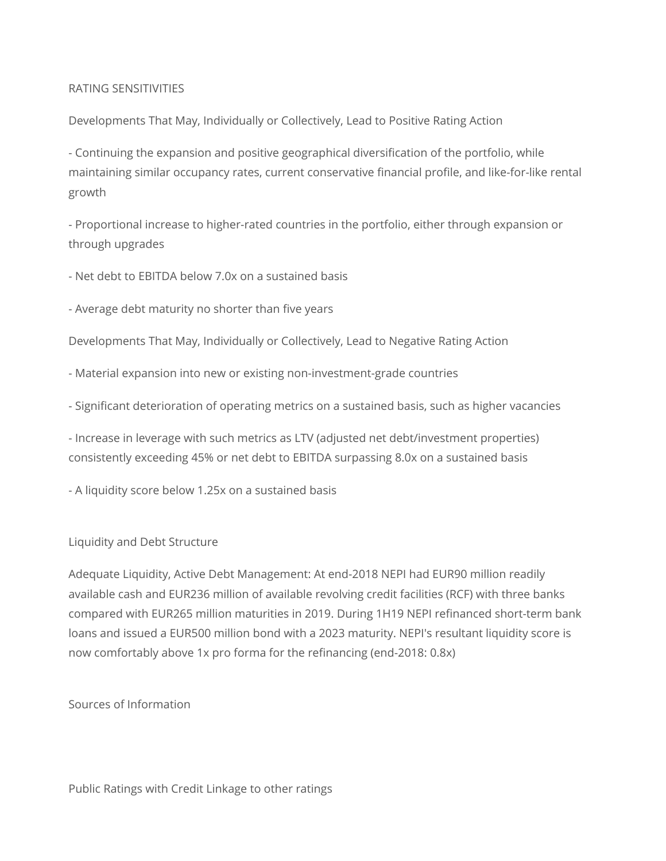#### RATING SENSITIVITIES

Developments That May, Individually or Collectively, Lead to Positive Rating Action

- Continuing the expansion and positive geographical diversification of the portfolio, while maintaining similar occupancy rates, current conservative financial profile, and like-for-like rental growth

- Proportional increase to higher-rated countries in the portfolio, either through expansion or through upgrades

- Net debt to EBITDA below 7.0x on a sustained basis

- Average debt maturity no shorter than five years

Developments That May, Individually or Collectively, Lead to Negative Rating Action

- Material expansion into new or existing non-investment-grade countries

- Significant deterioration of operating metrics on a sustained basis, such as higher vacancies

- Increase in leverage with such metrics as LTV (adjusted net debt/investment properties) consistently exceeding 45% or net debt to EBITDA surpassing 8.0x on a sustained basis

- A liquidity score below 1.25x on a sustained basis

#### Liquidity and Debt Structure

Adequate Liquidity, Active Debt Management: At end-2018 NEPI had EUR90 million readily available cash and EUR236 million of available revolving credit facilities (RCF) with three banks compared with EUR265 million maturities in 2019. During 1H19 NEPI refinanced short-term bank loans and issued a EUR500 million bond with a 2023 maturity. NEPI's resultant liquidity score is now comfortably above 1x pro forma for the refinancing (end-2018: 0.8x)

Sources of Information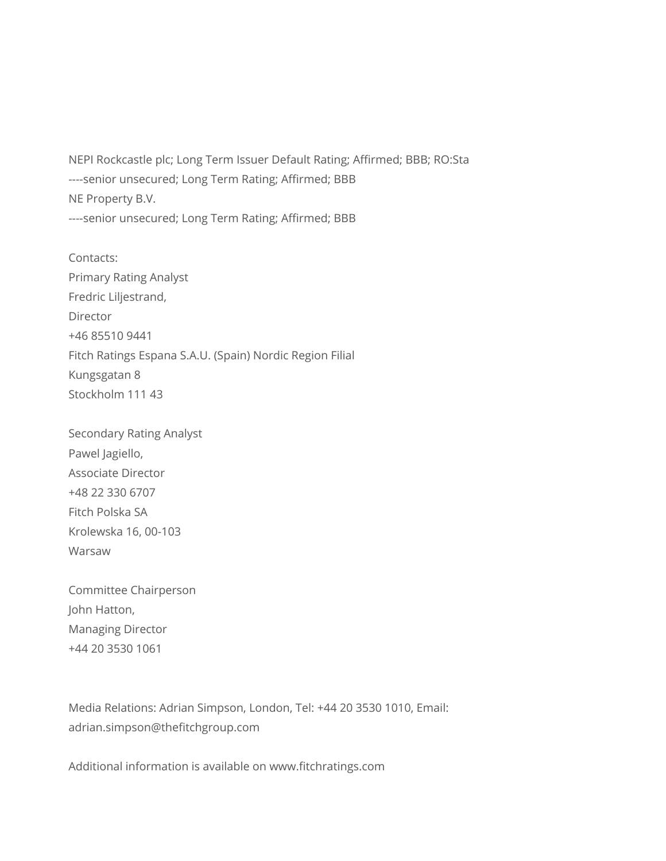NEPI Rockcastle plc; Long Term Issuer Default Rating; Affirmed; BBB; RO:Sta ----senior unsecured; Long Term Rating; Affirmed; BBB NE Property B.V. ----senior unsecured; Long Term Rating; Affirmed; BBB

Contacts: Primary Rating Analyst Fredric Liljestrand, Director +46 85510 9441 Fitch Ratings Espana S.A.U. (Spain) Nordic Region Filial Kungsgatan 8 Stockholm 111 43

Secondary Rating Analyst Pawel Jagiello, Associate Director +48 22 330 6707 Fitch Polska SA Krolewska 16, 00-103 Warsaw

Committee Chairperson John Hatton, Managing Director +44 20 3530 1061

Media Relations: Adrian Simpson, London, Tel: +44 20 3530 1010, Email: adrian.simpson@thefitchgroup.com

Additional information is available on www.fitchratings.com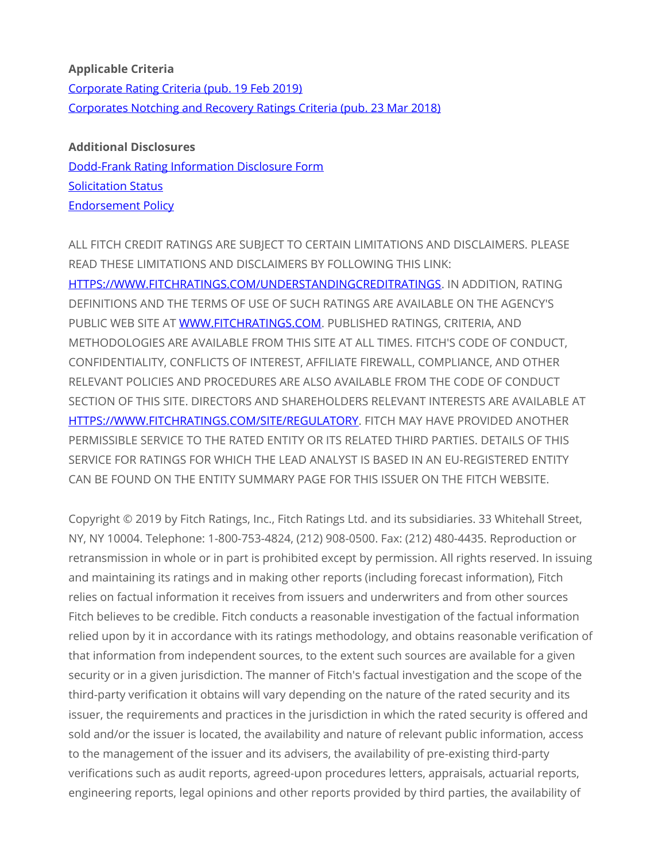## **Applicable Criteria** [Corporate Rating Criteria \(pub. 19 Feb 2019\)](/app.fitchconnect.com/search/research/article/RPT_10062582) [Corporates Notching and Recovery Ratings Criteria \(pub. 23 Mar 2018\)](/app.fitchconnect.com/search/research/article/RPT_10024585)

### **Additional Disclosures**

[Dodd-Frank Rating Information Disclosure Form](https://www.fitchratings.com/site/dodd-frank-disclosure/10083052) [Solicitation Status](https://www.fitchratings.com/site/pr/10083052#solicitation) [Endorsement Policy](https://www.fitchratings.com/regulatory)

ALL FITCH CREDIT RATINGS ARE SUBJECT TO CERTAIN LIMITATIONS AND DISCLAIMERS. PLEASE READ THESE LIMITATIONS AND DISCLAIMERS BY FOLLOWING THIS LINK: [HTTPS://WWW.FITCHRATINGS.COM/UNDERSTANDINGCREDITRATINGS.](https://www.fitchratings.com/UNDERSTANDINGCREDITRATINGS) IN ADDITION, RATING DEFINITIONS AND THE TERMS OF USE OF SUCH RATINGS ARE AVAILABLE ON THE AGENCY'S PUBLIC WEB SITE AT [WWW.FITCHRATINGS.COM.](https://www.fitchratings.com/site/home) PUBLISHED RATINGS, CRITERIA, AND METHODOLOGIES ARE AVAILABLE FROM THIS SITE AT ALL TIMES. FITCH'S CODE OF CONDUCT, CONFIDENTIALITY, CONFLICTS OF INTEREST, AFFILIATE FIREWALL, COMPLIANCE, AND OTHER RELEVANT POLICIES AND PROCEDURES ARE ALSO AVAILABLE FROM THE CODE OF CONDUCT SECTION OF THIS SITE. DIRECTORS AND SHAREHOLDERS RELEVANT INTERESTS ARE AVAILABLE AT [HTTPS://WWW.FITCHRATINGS.COM/SITE/REGULATORY.](https://www.fitchratings.com/site/regulatory) FITCH MAY HAVE PROVIDED ANOTHER PERMISSIBLE SERVICE TO THE RATED ENTITY OR ITS RELATED THIRD PARTIES. DETAILS OF THIS SERVICE FOR RATINGS FOR WHICH THE LEAD ANALYST IS BASED IN AN EU-REGISTERED ENTITY CAN BE FOUND ON THE ENTITY SUMMARY PAGE FOR THIS ISSUER ON THE FITCH WEBSITE.

Copyright © 2019 by Fitch Ratings, Inc., Fitch Ratings Ltd. and its subsidiaries. 33 Whitehall Street, NY, NY 10004. Telephone: 1-800-753-4824, (212) 908-0500. Fax: (212) 480-4435. Reproduction or retransmission in whole or in part is prohibited except by permission. All rights reserved. In issuing and maintaining its ratings and in making other reports (including forecast information), Fitch relies on factual information it receives from issuers and underwriters and from other sources Fitch believes to be credible. Fitch conducts a reasonable investigation of the factual information relied upon by it in accordance with its ratings methodology, and obtains reasonable verification of that information from independent sources, to the extent such sources are available for a given security or in a given jurisdiction. The manner of Fitch's factual investigation and the scope of the third-party verification it obtains will vary depending on the nature of the rated security and its issuer, the requirements and practices in the jurisdiction in which the rated security is offered and sold and/or the issuer is located, the availability and nature of relevant public information, access to the management of the issuer and its advisers, the availability of pre-existing third-party verifications such as audit reports, agreed-upon procedures letters, appraisals, actuarial reports, engineering reports, legal opinions and other reports provided by third parties, the availability of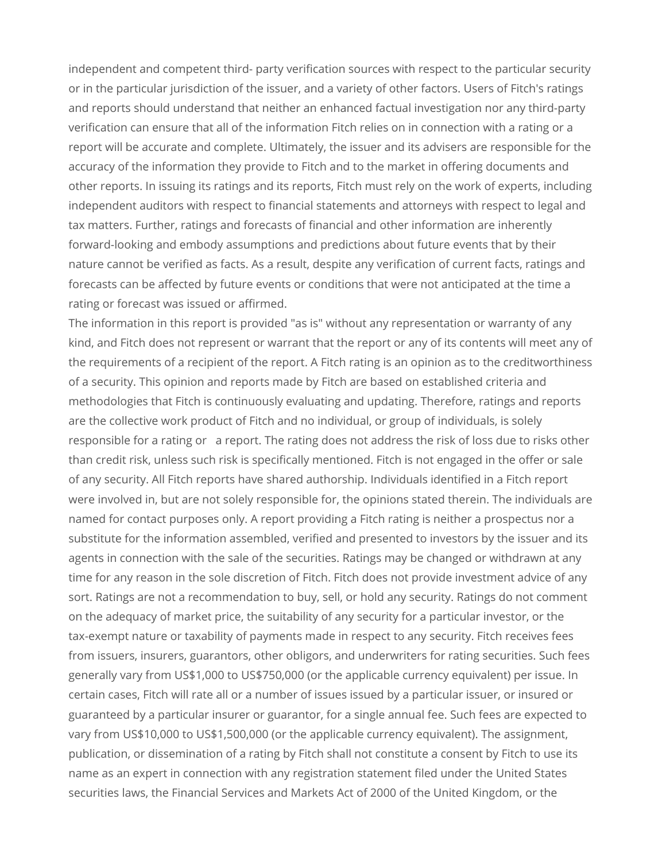independent and competent third- party verification sources with respect to the particular security or in the particular jurisdiction of the issuer, and a variety of other factors. Users of Fitch's ratings and reports should understand that neither an enhanced factual investigation nor any third-party verification can ensure that all of the information Fitch relies on in connection with a rating or a report will be accurate and complete. Ultimately, the issuer and its advisers are responsible for the accuracy of the information they provide to Fitch and to the market in offering documents and other reports. In issuing its ratings and its reports, Fitch must rely on the work of experts, including independent auditors with respect to financial statements and attorneys with respect to legal and tax matters. Further, ratings and forecasts of financial and other information are inherently forward-looking and embody assumptions and predictions about future events that by their nature cannot be verified as facts. As a result, despite any verification of current facts, ratings and forecasts can be affected by future events or conditions that were not anticipated at the time a rating or forecast was issued or affirmed.

The information in this report is provided "as is" without any representation or warranty of any kind, and Fitch does not represent or warrant that the report or any of its contents will meet any of the requirements of a recipient of the report. A Fitch rating is an opinion as to the creditworthiness of a security. This opinion and reports made by Fitch are based on established criteria and methodologies that Fitch is continuously evaluating and updating. Therefore, ratings and reports are the collective work product of Fitch and no individual, or group of individuals, is solely responsible for a rating or a report. The rating does not address the risk of loss due to risks other than credit risk, unless such risk is specifically mentioned. Fitch is not engaged in the offer or sale of any security. All Fitch reports have shared authorship. Individuals identified in a Fitch report were involved in, but are not solely responsible for, the opinions stated therein. The individuals are named for contact purposes only. A report providing a Fitch rating is neither a prospectus nor a substitute for the information assembled, verified and presented to investors by the issuer and its agents in connection with the sale of the securities. Ratings may be changed or withdrawn at any time for any reason in the sole discretion of Fitch. Fitch does not provide investment advice of any sort. Ratings are not a recommendation to buy, sell, or hold any security. Ratings do not comment on the adequacy of market price, the suitability of any security for a particular investor, or the tax-exempt nature or taxability of payments made in respect to any security. Fitch receives fees from issuers, insurers, guarantors, other obligors, and underwriters for rating securities. Such fees generally vary from US\$1,000 to US\$750,000 (or the applicable currency equivalent) per issue. In certain cases, Fitch will rate all or a number of issues issued by a particular issuer, or insured or guaranteed by a particular insurer or guarantor, for a single annual fee. Such fees are expected to vary from US\$10,000 to US\$1,500,000 (or the applicable currency equivalent). The assignment, publication, or dissemination of a rating by Fitch shall not constitute a consent by Fitch to use its name as an expert in connection with any registration statement filed under the United States securities laws, the Financial Services and Markets Act of 2000 of the United Kingdom, or the